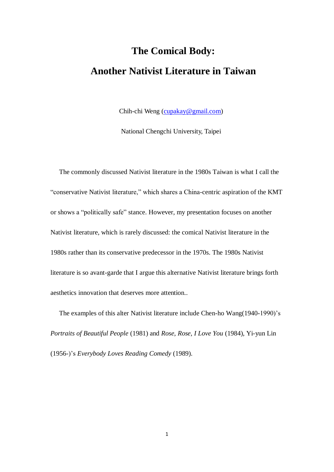## **The Comical Body: Another Nativist Literature in Taiwan**

Chih-chi Weng [\(cupakay@gmail.com\)](mailto:cupakay@gmail.com)

National Chengchi University, Taipei

The commonly discussed Nativist literature in the 1980s Taiwan is what I call the "conservative Nativist literature," which shares a China-centric aspiration of the KMT or shows a "politically safe" stance. However, my presentation focuses on another Nativist literature, which is rarely discussed: the comical Nativist literature in the 1980s rather than its conservative predecessor in the 1970s. The 1980s Nativist literature is so avant-garde that I argue this alternative Nativist literature brings forth aesthetics innovation that deserves more attention..

The examples of this alter Nativist literature include Chen-ho Wang(1940-1990)'s *Portraits of Beautiful People* (1981) and *Rose, Rose, I Love You* (1984), Yi-yun Lin (1956-)'s *Everybody Loves Reading Comedy* (1989).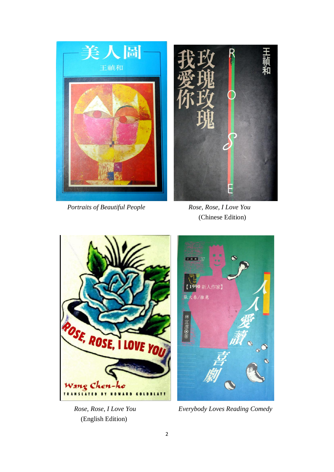

*Portraits of Beautiful People Rose, Rose, I Love You*

(Chinese Edition)



(English Edition)



 *Rose, Rose, I Love You Everybody Loves Reading Comedy*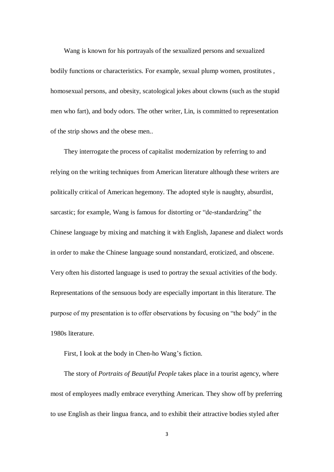Wang is known for his portrayals of the sexualized persons and sexualized bodily functions or characteristics. For example, sexual plump women, prostitutes , homosexual persons, and obesity, scatological jokes about clowns (such as the stupid men who fart), and body odors. The other writer, Lin, is committed to representation of the strip shows and the obese men..

They interrogate the process of capitalist modernization by referring to and relying on the writing techniques from American literature although these writers are politically critical of American hegemony. The adopted style is naughty, absurdist, sarcastic; for example, Wang is famous for distorting or "de-standardzing" the Chinese language by mixing and matching it with English, Japanese and dialect words in order to make the Chinese language sound nonstandard, eroticized, and obscene. Very often his distorted language is used to portray the sexual activities of the body. Representations of the sensuous body are especially important in this literature. The purpose of my presentation is to offer observations by focusing on "the body" in the 1980s literature.

First, I look at the body in Chen-ho Wang's fiction.

The story of *Portraits of Beautiful People* takes place in a tourist agency, where most of employees madly embrace everything American. They show off by preferring to use English as their lingua franca, and to exhibit their attractive bodies styled after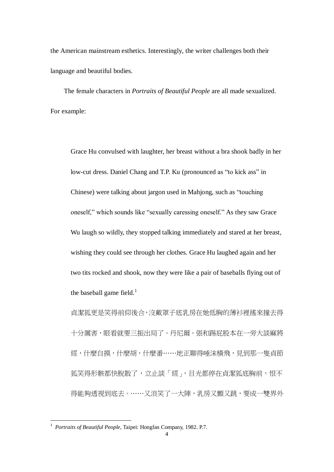the American mainstream esthetics. Interestingly, the writer challenges both their language and beautiful bodies.

The female characters in *Portraits of Beautiful People* are all made sexualized. For example:

Grace Hu convulsed with laughter, her breast without a bra shook badly in her low-cut dress. Daniel Chang and T.P. Ku (pronounced as "to kick ass" in Chinese) were talking about jargon used in Mahjong, such as "touching oneself," which sounds like "sexually caressing oneself." As they saw Grace Wu laugh so wildly, they stopped talking immediately and stared at her breast, wishing they could see through her clothes. Grace Hu laughed again and her two tits rocked and shook, now they were like a pair of baseballs flying out of the baseball game field.<sup>1</sup>

貞潔狐更是笑得前仰後合,沒戴罩子底乳房在她低胸的薄衫裡搖來撞去得 十分厲害,眼看就要三振出局了。丹尼爾·張和踢屁股本在一旁大談麻將 經,什麼自摸,什麼胡,什麼番……地正聊得唾沫橫飛,見到那一隻貞節 狐笑得形骸都快脫散了,立止談「經」,目光都停在貞潔狐底胸前,恨不 得能夠透視到底去。……又浪笑了一大陣,乳房又顫又跳,要成一雙界外

-

<sup>&</sup>lt;sup>1</sup> Portraits of Beautiful People, Taipei: Hongfan Company, 1982. P.7.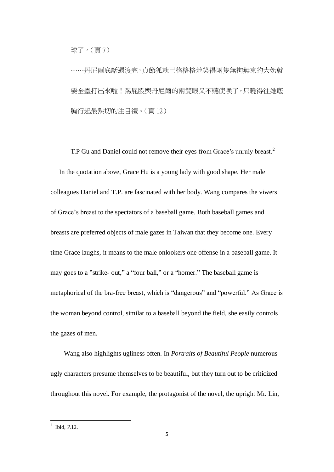球了。(頁 7)

……丹尼爾底話還沒完,貞節狐就已格格格地笑得兩隻無拘無束的大奶就 要全壘打出來啦!踢屁股與丹尼爾的兩雙眼又不聽使喚了,只曉得往她底 胸行起最熱切的注目禮。(頁 12)

T.P Gu and Daniel could not remove their eyes from Grace's unruly breast.<sup>2</sup> In the quotation above, Grace Hu is a young lady with good shape. Her male colleagues Daniel and T.P. are fascinated with her body. Wang compares the viwers of Grace's breast to the spectators of a baseball game. Both baseball games and breasts are preferred objects of male gazes in Taiwan that they become one. Every time Grace laughs, it means to the male onlookers one offense in a baseball game. It may goes to a "strike- out," a "four ball," or a "homer." The baseball game is metaphorical of the bra-free breast, which is "dangerous" and "powerful." As Grace is the woman beyond control, similar to a baseball beyond the field, she easily controls the gazes of men.

Wang also highlights ugliness often. In *Portraits of Beautiful People* numerous ugly characters presume themselves to be beautiful, but they turn out to be criticized throughout this novel. For example, the protagonist of the novel, the upright Mr. Lin,

 $\frac{1}{2}$  Ibid, P.12.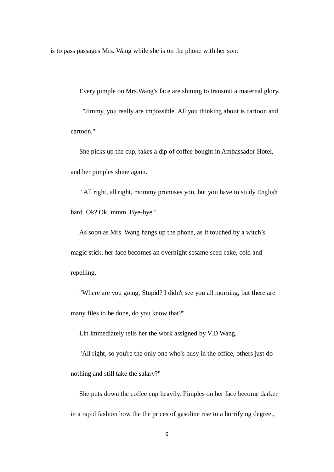is to pass passages Mrs. Wang while she is on the phone with her son:

Every pimple on Mrs.Wang's face are shining to transmit a maternal glory. "Jimmy, you really are impossible. All you thinking about is cartoon and cartoon."

She picks up the cup, takes a dip of coffee bought in Ambassador Hotel, and her pimples shine again.

" All right, all right, mommy promises you, but you have to study English hard. Ok? Ok, mmm. Bye-bye."

As soon as Mrs. Wang hangs up the phone, as if touched by a witch's magic stick, her face becomes an overnight sesame seed cake, cold and repelling.

"Where are you going, Stupid? I didn't see you all morning, but there are many files to be done, do you know that?"

Lin immediately tells her the work assigned by V.D Wang.

"All right, so you're the only one who's busy in the office, others just do

nothing and still take the salary?"

She puts down the coffee cup heavily. Pimples on her face become darker in a rapid fashion how the the prices of gasoline rise to a horrifying degree.,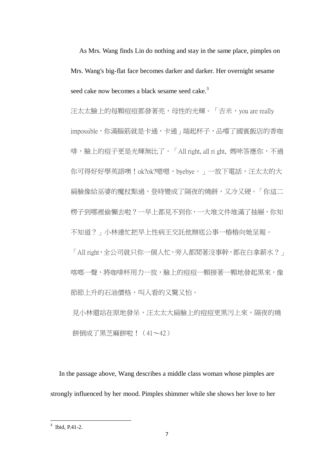As Mrs. Wang finds Lin do nothing and stay in the same place, pimples on Mrs. Wang's big-flat face becomes darker and darker. Her overnight sesame seed cake now becomes a black sesame seed cake.<sup>3</sup>

汪太太臉上的每顆痘宿都發著亮,母性的光輝。「吉米, you are really impossible,你滿腦筋就是卡通,卡通」端起杯子,品嚐了國賓飯店的香咖 啡,臉上的痘子更是光輝無比了。「All right, all ri ght, 媽咪答應你,不過 你可得好好學英語噢!ok?ok?嗯嗯,byebye。」一放下電話,汪太太的大 扁臉像給巫婆的魔杖點過,登時變成了隔夜的燒餅,又冷又硬。「你這二 楞子到哪裡偷懶去啦?一早上都見不到你,一大堆文件堆滿了抽屜,你知 不知道?」小林連忙把早上性病王交託他辦底公事一樁樁向她呈報。

「All right,全公司就只你一個人忙,旁人都閒著沒事幹,都在白拿薪水?」 喀啷一聲,將咖啡杯用力一放,臉上的痘痘一顆接著一顆地發起黑來,像 節節上升的石油價格,叫人看的又驚又怕。

見小林還站在原地發呆,汪太太大扁臉上的痘痘更黑污上來,隔夜的燒 餅倒成了黑芝麻餅啦!(41~42)

In the passage above, Wang describes a middle class woman whose pimples are strongly influenced by her mood. Pimples shimmer while she shows her love to her

 $\frac{1}{3}$  Ibid, P.41-2.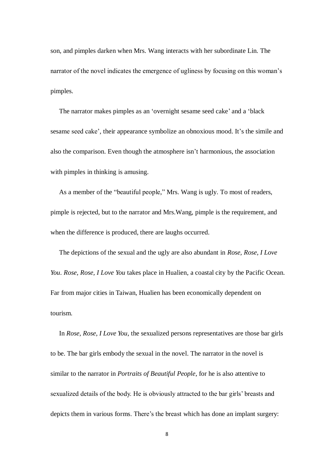son, and pimples darken when Mrs. Wang interacts with her subordinate Lin. The narrator of the novel indicates the emergence of ugliness by focusing on this woman's pimples.

The narrator makes pimples as an 'overnight sesame seed cake' and a 'black sesame seed cake', their appearance symbolize an obnoxious mood. It's the simile and also the comparison. Even though the atmosphere isn't harmonious, the association with pimples in thinking is amusing.

As a member of the "beautiful people," Mrs. Wang is ugly. To most of readers, pimple is rejected, but to the narrator and Mrs.Wang, pimple is the requirement, and when the difference is produced, there are laughs occurred.

The depictions of the sexual and the ugly are also abundant in *Rose, Rose, I Love You*. *Rose, Rose, I Love You* takes place in Hualien, a coastal city by the Pacific Ocean. Far from major cities in Taiwan, Hualien has been economically dependent on tourism.

In *Rose, Rose, I Love You*, the sexualized persons representatives are those bar girls to be. The bar girls embody the sexual in the novel. The narrator in the novel is similar to the narrator in *Portraits of Beautiful People*, for he is also attentive to sexualized details of the body. He is obviously attracted to the bar girls' breasts and depicts them in various forms. There's the breast which has done an implant surgery: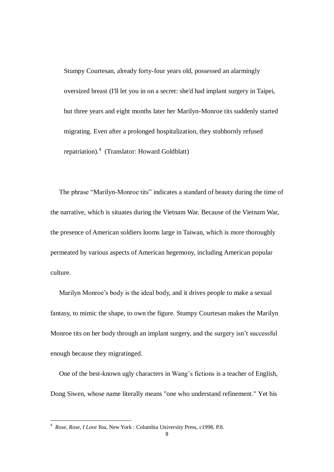Stumpy Courtesan, already forty-four years old, possessed an alarmingly oversized breast (I'll let you in on a secret: she'd had implant surgery in Taipei, but three years and eight months later her Marilyn-Monroe tits suddenly started migrating. Even after a prolonged hospitalization, they stubbornly refused repatriation).<sup>4</sup> (Translator: Howard Goldblatt)

The phrase "Marilyn-Monroe tits" indicates a standard of beauty during the time of the narrative, which is situates during the Vietnam War. Because of the Vietnam War, the presence of American soldiers looms large in Taiwan, which is more thoroughly permeated by various aspects of American hegemony, including American popular culture.

Marilyn Monroe's body is the ideal body, and it drives people to make a sexual fantasy, to mimic the shape, to own the figure. Stumpy Courtesan makes the Marilyn Monroe tits on her body through an implant surgery, and the surgery isn't successful enough because they migratinged.

One of the best-known ugly characters in Wang's fictions is a teacher of English, Dong Siwen, whose name literally means "one who understand refinement." Yet his

-

<sup>4</sup> *Rose, Rose, I Love You*, New York : Columbia University Press, c1998. P.8.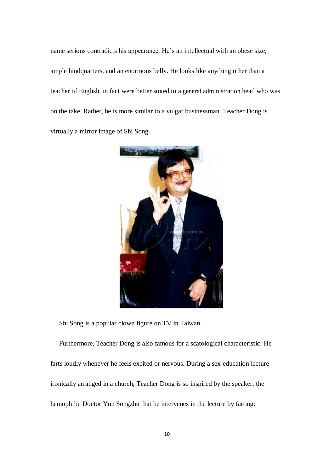name serious contradicts his appearance. He's an intellectual with an obese size, ample hindquarters, and an enormous belly. He looks like anything other than a teacher of English, in fact were better suited to a general administration head who was on the take. Rather, he is more similar to a vulgar businessman. Teacher Dong is virtually a mirror image of Shi Song.



Shi Song is a popular clown figure on TV in Taiwan.

Furthermore, Teacher Dong is also famous for a scatological characteristic: He farts loudly whenever he feels excited or nervous. During a sex-education lecture ironically arranged in a church, Teacher Dong is so inspired by the speaker, the hemophilic Doctor Yun Songzhu that he intervenes in the lecture by farting: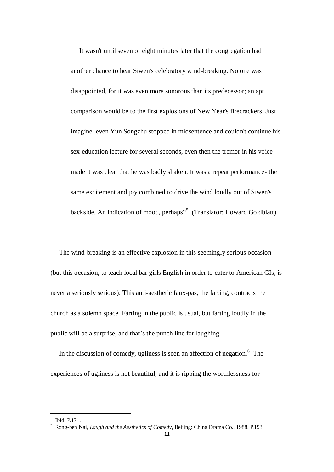It wasn't until seven or eight minutes later that the congregation had another chance to hear Siwen's celebratory wind-breaking. No one was disappointed, for it was even more sonorous than its predecessor; an apt comparison would be to the first explosions of New Year's firecrackers. Just imagine: even Yun Songzhu stopped in midsentence and couldn't continue his sex-education lecture for several seconds, even then the tremor in his voice made it was clear that he was badly shaken. It was a repeat performance- the same excitement and joy combined to drive the wind loudly out of Siwen's backside. An indication of mood, perhaps?<sup>5</sup> (Translator: Howard Goldblatt)

The wind-breaking is an effective explosion in this seemingly serious occasion (but this occasion, to teach local bar girls English in order to cater to American GIs, is never a seriously serious). This anti-aesthetic faux-pas, the farting, contracts the church as a solemn space. Farting in the public is usual, but farting loudly in the public will be a surprise, and that's the punch line for laughing.

In the discussion of comedy, ugliness is seen an affection of negation.<sup>6</sup> The experiences of ugliness is not beautiful, and it is ripping the worthlessness for

<sup>&</sup>lt;sup>5</sup> Ibid, P.171.

<sup>6</sup> Rong-ben Nai, *Laugh and the Aesthetics of Comedy*, Beijing: China Drama Co., 1988. P.193.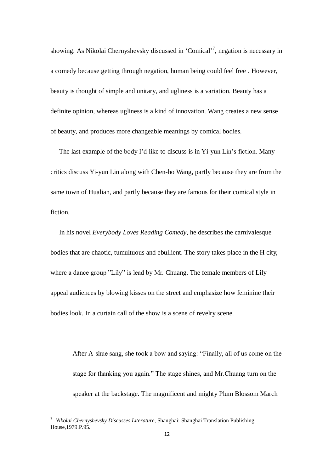showing. As Nikolai Chernyshevsky discussed in 'Comical'<sup>7</sup>, negation is necessary in a comedy because getting through negation, human being could feel free . However, beauty is thought of simple and unitary, and ugliness is a variation. Beauty has a definite opinion, whereas ugliness is a kind of innovation. Wang creates a new sense of beauty, and produces more changeable meanings by comical bodies.

The last example of the body I'd like to discuss is in Yi-yun Lin's fiction. Many critics discuss Yi-yun Lin along with Chen-ho Wang, partly because they are from the same town of Hualian, and partly because they are famous for their comical style in fiction.

In his novel *Everybody Loves Reading Comedy*, he describes the carnivalesque bodies that are chaotic, [tumultuous](http://tw.rd.yahoo.com/_ylt=A3eg.8xQ7cZRulIAM3bhbB4J/SIG=12clnp6tp/EXP=1372020176/**http%3a/tw.dictionary.yahoo.com/dictionary%3fp=tumultuous) and ebullient. The story takes place in the H city, where a dance group "Lily" is lead by Mr. Chuang. The female members of Lily appeal audiences by blowing kisses on the street and emphasize how feminine their bodies look. In a curtain call of the show is a scene of revelry scene.

After A-shue sang, she took a bow and saying: "Finally, all of us come on the stage for thanking you again." The stage shines, and Mr.Chuang turn on the speaker at the backstage. The magnificent and mighty Plum Blossom March

-

<sup>7</sup> *Nikolai Chernyshevsky Discusses Literature,* Shanghai: Shanghai Translation Publishing House,1979.P.95.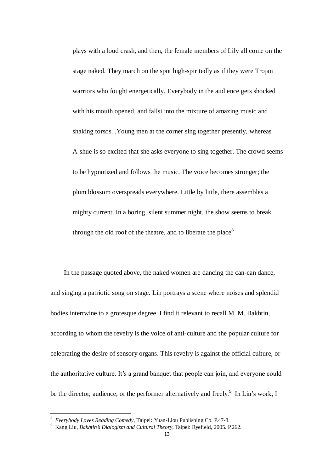plays with a loud crash, and then, the female members of Lily all come on the stage naked. They march on the spot high-spiritedly as if they were Trojan warriors who fought energetically. Everybody in the audience gets shocked with his mouth opened, and fallsi into the mixture of amazing music and shaking torsos. .Young men at the corner sing together presently, whereas A-shue is so excited that she asks everyone to sing together. The crowd seems to be hypnotized and follows the music. The voice becomes stronger; the plum blossom overspreads everywhere. Little by little, there assembles a mighty current. In a boring, silent summer night, the show seems to break through the old roof of the theatre, and to liberate the place<sup>8</sup>

In the passage quoted above, the naked women are dancing the can-can dance, and singing a patriotic song on stage. Lin portrays a scene where noises and splendid bodies intertwine to a grotesque degree. I find it relevant to recall M. M. Bakhtin, according to whom the revelry is the voice of anti-culture and the popular culture for celebrating the desire of sensory organs. This revelry is against the official culture, or the authoritative culture. It's a grand banquet that people can join, and everyone could be the director, audience, or the performer alternatively and freely.<sup>9</sup> In Lin's work, I

 8 *Everybody Loves Reading Comedy,* Taipei: Yuan-Liou Publishing Co. P.47-8.

<sup>9</sup> Kang Liu, *Bakhtin's Dialogism and Cultural Theory*, Taipei: Ryefield, 2005. P.262.